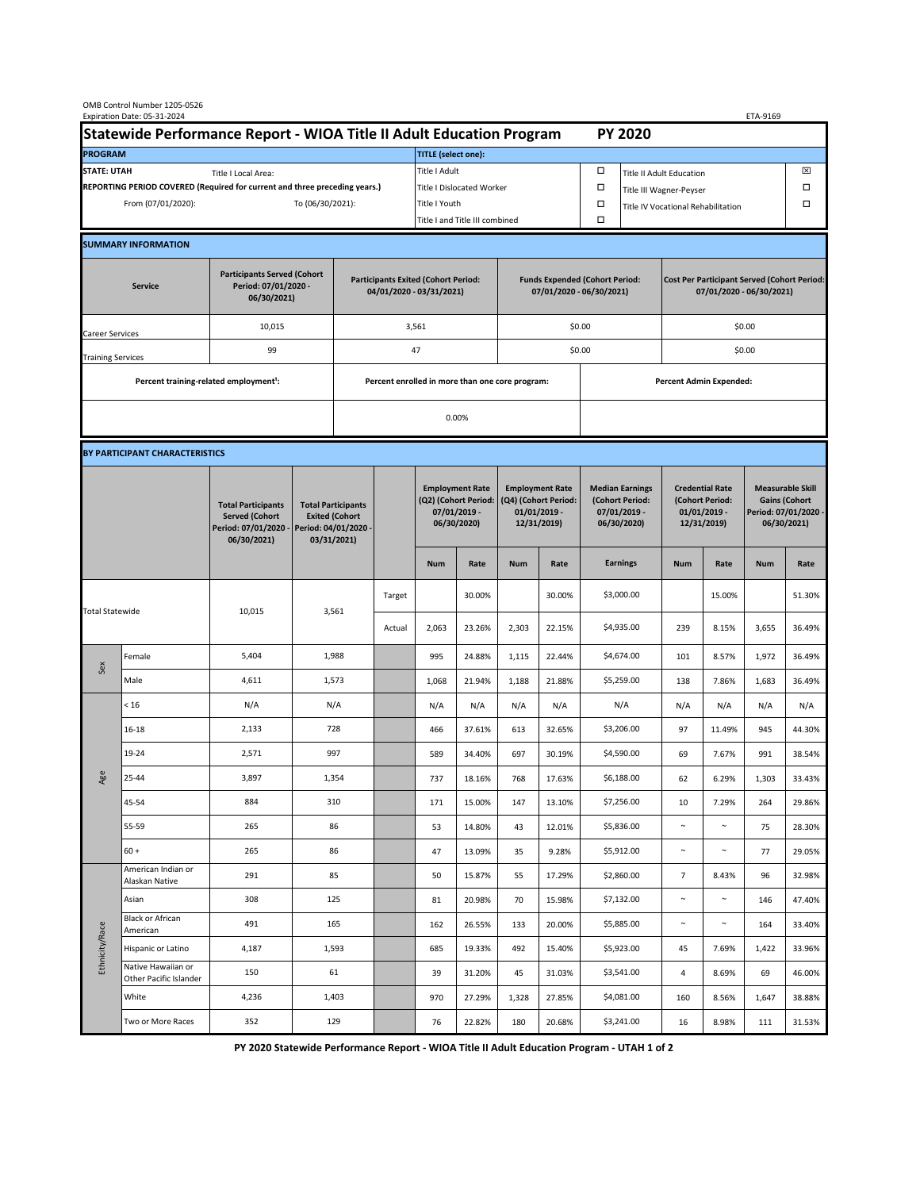| OMB Control Number 1205-0526<br>Expiration Date: 05-31-2024<br>ETA-9169                     |                                                    |                                                                                           |                                                                        |                                                                                           |        |                                                                               |                                                                   |                                                                                 |                                |                                                                            |                                                                                |                                                                            |        |                                                                                        |        |  |
|---------------------------------------------------------------------------------------------|----------------------------------------------------|-------------------------------------------------------------------------------------------|------------------------------------------------------------------------|-------------------------------------------------------------------------------------------|--------|-------------------------------------------------------------------------------|-------------------------------------------------------------------|---------------------------------------------------------------------------------|--------------------------------|----------------------------------------------------------------------------|--------------------------------------------------------------------------------|----------------------------------------------------------------------------|--------|----------------------------------------------------------------------------------------|--------|--|
| Statewide Performance Report - WIOA Title II Adult Education Program                        |                                                    |                                                                                           |                                                                        |                                                                                           |        | <b>PY 2020</b>                                                                |                                                                   |                                                                                 |                                |                                                                            |                                                                                |                                                                            |        |                                                                                        |        |  |
| <b>PROGRAM</b>                                                                              |                                                    |                                                                                           |                                                                        |                                                                                           |        | <b>TITLE</b> (select one):                                                    |                                                                   |                                                                                 |                                |                                                                            |                                                                                |                                                                            |        |                                                                                        |        |  |
| <b>STATE: UTAH</b><br>Title I Local Area:                                                   |                                                    |                                                                                           |                                                                        |                                                                                           |        | Title I Adult                                                                 |                                                                   |                                                                                 |                                | □<br><b>Title II Adult Education</b>                                       |                                                                                |                                                                            |        |                                                                                        | ⊠      |  |
| REPORTING PERIOD COVERED (Required for current and three preceding years.)                  |                                                    |                                                                                           |                                                                        |                                                                                           |        | Title I Dislocated Worker                                                     |                                                                   |                                                                                 |                                | Ω                                                                          | □<br>Title III Wagner-Peyser                                                   |                                                                            |        |                                                                                        |        |  |
| To (06/30/2021):<br>From (07/01/2020):                                                      |                                                    |                                                                                           |                                                                        |                                                                                           |        | Title I Youth                                                                 |                                                                   |                                                                                 | $\Box$                         | Title IV Vocational Rehabilitation                                         |                                                                                |                                                                            | □      |                                                                                        |        |  |
|                                                                                             |                                                    |                                                                                           |                                                                        |                                                                                           |        | Title I and Title III combined                                                |                                                                   |                                                                                 | Ω                              |                                                                            |                                                                                |                                                                            |        |                                                                                        |        |  |
|                                                                                             | <b>SUMMARY INFORMATION</b>                         |                                                                                           |                                                                        |                                                                                           |        |                                                                               |                                                                   |                                                                                 |                                |                                                                            |                                                                                |                                                                            |        |                                                                                        |        |  |
| <b>Participants Served (Cohort</b><br>Period: 07/01/2020 -<br><b>Service</b><br>06/30/2021) |                                                    |                                                                                           | <b>Participants Exited (Cohort Period:</b><br>04/01/2020 - 03/31/2021) |                                                                                           |        |                                                                               | <b>Funds Expended (Cohort Period:</b><br>07/01/2020 - 06/30/2021) |                                                                                 |                                |                                                                            | <b>Cost Per Participant Served (Cohort Period:</b><br>07/01/2020 - 06/30/2021) |                                                                            |        |                                                                                        |        |  |
| Career Services                                                                             |                                                    | 10,015                                                                                    |                                                                        |                                                                                           |        | 3,561                                                                         |                                                                   |                                                                                 |                                | \$0.00                                                                     |                                                                                | \$0.00                                                                     |        |                                                                                        |        |  |
| <b>Training Services</b>                                                                    |                                                    | 99                                                                                        |                                                                        | 47                                                                                        |        |                                                                               |                                                                   |                                                                                 |                                | \$0.00                                                                     |                                                                                | \$0.00                                                                     |        |                                                                                        |        |  |
|                                                                                             | Percent training-related employment <sup>1</sup> : |                                                                                           | Percent enrolled in more than one core program:                        |                                                                                           |        |                                                                               |                                                                   |                                                                                 | <b>Percent Admin Expended:</b> |                                                                            |                                                                                |                                                                            |        |                                                                                        |        |  |
|                                                                                             |                                                    |                                                                                           |                                                                        | 0.00%                                                                                     |        |                                                                               |                                                                   |                                                                                 |                                |                                                                            |                                                                                |                                                                            |        |                                                                                        |        |  |
|                                                                                             |                                                    |                                                                                           |                                                                        |                                                                                           |        |                                                                               |                                                                   |                                                                                 |                                |                                                                            |                                                                                |                                                                            |        |                                                                                        |        |  |
|                                                                                             | BY PARTICIPANT CHARACTERISTICS                     |                                                                                           |                                                                        |                                                                                           |        |                                                                               |                                                                   |                                                                                 |                                |                                                                            |                                                                                |                                                                            |        |                                                                                        |        |  |
|                                                                                             |                                                    | <b>Total Participants</b><br><b>Served (Cohort</b><br>Period: 07/01/2020 -<br>06/30/2021) |                                                                        | <b>Total Participants</b><br><b>Exited (Cohort</b><br>Period: 04/01/2020 -<br>03/31/2021) |        | <b>Employment Rate</b><br>(Q2) (Cohort Period:<br>07/01/2019 -<br>06/30/2020) |                                                                   | <b>Employment Rate</b><br>(Q4) (Cohort Period:<br>$01/01/2019$ -<br>12/31/2019) |                                | <b>Median Earnings</b><br>(Cohort Period:<br>$07/01/2019 -$<br>06/30/2020) |                                                                                | <b>Credential Rate</b><br>(Cohort Period:<br>$01/01/2019$ -<br>12/31/2019) |        | <b>Measurable Skill</b><br><b>Gains (Cohort</b><br>Period: 07/01/2020 -<br>06/30/2021) |        |  |
|                                                                                             |                                                    |                                                                                           |                                                                        |                                                                                           |        | <b>Num</b>                                                                    | Rate                                                              | <b>Num</b>                                                                      | Rate                           |                                                                            | <b>Earnings</b>                                                                | <b>Num</b>                                                                 | Rate   | <b>Num</b>                                                                             | Rate   |  |
| <b>Total Statewide</b>                                                                      |                                                    | 10,015                                                                                    | 3,561                                                                  |                                                                                           | Target |                                                                               | 30.00%                                                            |                                                                                 | 30.00%                         |                                                                            | \$3,000.00                                                                     |                                                                            | 15.00% |                                                                                        | 51.30% |  |
|                                                                                             |                                                    |                                                                                           |                                                                        |                                                                                           | Actual | 2,063                                                                         | 23.26%                                                            | 2,303                                                                           | 22.15%                         |                                                                            | \$4,935.00                                                                     | 239                                                                        | 8.15%  | 3,655                                                                                  | 36.49% |  |
| Sex                                                                                         | Female                                             | 5,404                                                                                     | 1,988                                                                  |                                                                                           |        | 995                                                                           | 24.88%                                                            | 1,115                                                                           | 22.44%                         |                                                                            | \$4,674.00                                                                     | 101                                                                        | 8.57%  | 1,972                                                                                  | 36.49% |  |
|                                                                                             | Male                                               | 4,611                                                                                     | 1,573                                                                  |                                                                                           |        | 1,068                                                                         | 21.94%                                                            | 1,188                                                                           | 21.88%                         |                                                                            | \$5,259.00                                                                     | 138                                                                        | 7.86%  | 1,683                                                                                  | 36.49% |  |
| Age                                                                                         | < 16                                               | N/A                                                                                       | N/A                                                                    |                                                                                           |        | N/A                                                                           | N/A                                                               | N/A                                                                             | N/A                            |                                                                            | N/A                                                                            | N/A                                                                        | N/A    | N/A                                                                                    | N/A    |  |
|                                                                                             | $16 - 18$                                          | 2,133                                                                                     | 728                                                                    |                                                                                           |        | 466                                                                           | 37.61%                                                            | 613                                                                             | 32.65%                         |                                                                            | \$3,206.00                                                                     | 97                                                                         | 11.49% | 945                                                                                    | 44.30% |  |
|                                                                                             | 19-24                                              | 2,571                                                                                     | 997                                                                    |                                                                                           |        | 589                                                                           | 34.40%                                                            | 697                                                                             | 30.19%                         |                                                                            | \$4,590.00                                                                     | 69                                                                         | 7.67%  | 991                                                                                    | 38.54% |  |
|                                                                                             | 25-44                                              | 3,897                                                                                     | 1,354                                                                  |                                                                                           |        | 737                                                                           | 18.16%                                                            | 768                                                                             | 17.63%                         |                                                                            | \$6,188.00                                                                     | 62                                                                         | 6.29%  | 1,303                                                                                  | 33.43% |  |
|                                                                                             | 45-54                                              | 884                                                                                       | 310                                                                    |                                                                                           |        | 171                                                                           | 15.00%                                                            | 147                                                                             | 13.10%                         |                                                                            | \$7,256.00                                                                     | 10                                                                         | 7.29%  | 264                                                                                    | 29.86% |  |
|                                                                                             | 55-59                                              | 265                                                                                       | 86                                                                     |                                                                                           |        | 53                                                                            | 14.80%                                                            | 43                                                                              | 12.01%                         |                                                                            | \$5,836.00                                                                     | $\sim$                                                                     | $\sim$ | 75                                                                                     | 28.30% |  |
|                                                                                             | $60 +$                                             | 265                                                                                       | 86                                                                     |                                                                                           |        | 47                                                                            | 13.09%                                                            | 35                                                                              | 9.28%                          |                                                                            | \$5,912.00                                                                     | $\sim$                                                                     | $\sim$ | 77                                                                                     | 29.05% |  |
| Ethnicity/Race                                                                              | American Indian or<br>Alaskan Native               | 291                                                                                       | 85                                                                     |                                                                                           |        | 50                                                                            | 15.87%                                                            | 55                                                                              | 17.29%                         |                                                                            | \$2,860.00                                                                     | $\overline{7}$                                                             | 8.43%  | 96                                                                                     | 32.98% |  |
|                                                                                             | Asian                                              | 308                                                                                       | 125                                                                    |                                                                                           |        | 81                                                                            | 20.98%                                                            | 70                                                                              | 15.98%                         |                                                                            | \$7,132.00                                                                     | $\sim$                                                                     | $\sim$ | 146                                                                                    | 47.40% |  |
|                                                                                             | Black or African<br>American                       | 491                                                                                       | 165                                                                    |                                                                                           |        | 162                                                                           | 26.55%                                                            | 133                                                                             | 20.00%                         |                                                                            | \$5,885.00                                                                     | $\sim$                                                                     | $\sim$ | 164                                                                                    | 33.40% |  |
|                                                                                             | Hispanic or Latino                                 | 4,187                                                                                     | 1,593                                                                  |                                                                                           |        | 685                                                                           | 19.33%                                                            | 492                                                                             | 15.40%                         |                                                                            | \$5,923.00                                                                     | 45                                                                         | 7.69%  | 1,422                                                                                  | 33.96% |  |
|                                                                                             | Native Hawaiian or<br>Other Pacific Islander       | 150                                                                                       | 61                                                                     |                                                                                           |        | 39                                                                            | 31.20%                                                            | 45                                                                              | 31.03%                         |                                                                            | \$3,541.00                                                                     | 4                                                                          | 8.69%  | 69                                                                                     | 46.00% |  |
|                                                                                             | White                                              | 4,236                                                                                     | 1,403                                                                  |                                                                                           |        | 970                                                                           | 27.29%                                                            | 1,328                                                                           | 27.85%                         |                                                                            | \$4,081.00                                                                     | 160                                                                        | 8.56%  | 1,647                                                                                  | 38.88% |  |
|                                                                                             | Two or More Races                                  | 352                                                                                       | 129                                                                    |                                                                                           |        | 76                                                                            | 22.82%                                                            | 180                                                                             | 20.68%                         |                                                                            | \$3,241.00                                                                     | 16                                                                         | 8.98%  | 111                                                                                    | 31.53% |  |

**PY 2020 Statewide Performance Report - WIOA Title II Adult Education Program - UTAH 1 of 2**